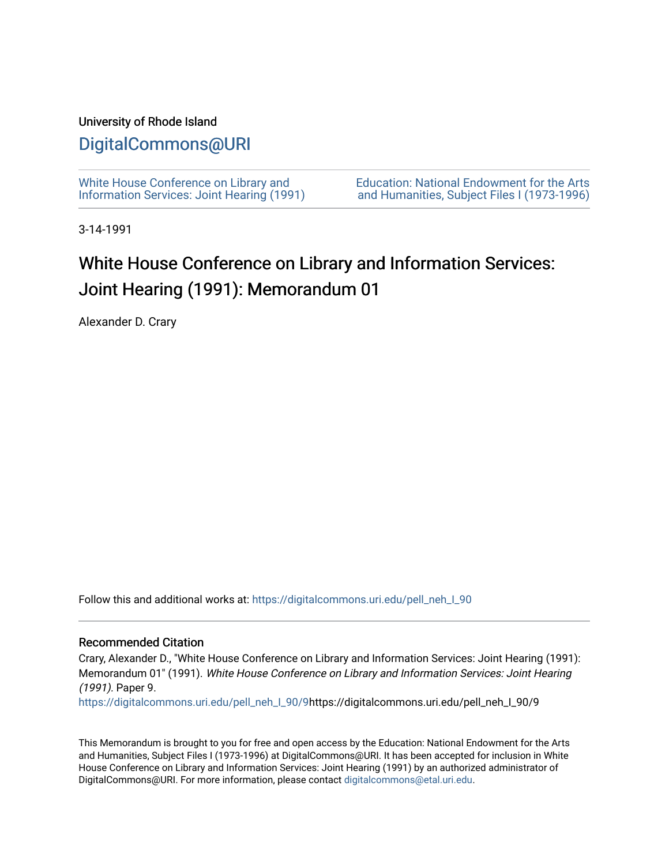### University of Rhode Island

## [DigitalCommons@URI](https://digitalcommons.uri.edu/)

[White House Conference on Library and](https://digitalcommons.uri.edu/pell_neh_I_90) [Information Services: Joint Hearing \(1991\)](https://digitalcommons.uri.edu/pell_neh_I_90) [Education: National Endowment for the Arts](https://digitalcommons.uri.edu/pell_neh_I)  [and Humanities, Subject Files I \(1973-1996\)](https://digitalcommons.uri.edu/pell_neh_I) 

3-14-1991

# White House Conference on Library and Information Services: Joint Hearing (1991): Memorandum 01

Alexander D. Crary

Follow this and additional works at: [https://digitalcommons.uri.edu/pell\\_neh\\_I\\_90](https://digitalcommons.uri.edu/pell_neh_I_90?utm_source=digitalcommons.uri.edu%2Fpell_neh_I_90%2F9&utm_medium=PDF&utm_campaign=PDFCoverPages) 

### Recommended Citation

Crary, Alexander D., "White House Conference on Library and Information Services: Joint Hearing (1991): Memorandum 01" (1991). White House Conference on Library and Information Services: Joint Hearing (1991). Paper 9.

[https://digitalcommons.uri.edu/pell\\_neh\\_I\\_90/9h](https://digitalcommons.uri.edu/pell_neh_I_90/9?utm_source=digitalcommons.uri.edu%2Fpell_neh_I_90%2F9&utm_medium=PDF&utm_campaign=PDFCoverPages)ttps://digitalcommons.uri.edu/pell\_neh\_I\_90/9

This Memorandum is brought to you for free and open access by the Education: National Endowment for the Arts and Humanities, Subject Files I (1973-1996) at DigitalCommons@URI. It has been accepted for inclusion in White House Conference on Library and Information Services: Joint Hearing (1991) by an authorized administrator of DigitalCommons@URI. For more information, please contact [digitalcommons@etal.uri.edu.](mailto:digitalcommons@etal.uri.edu)